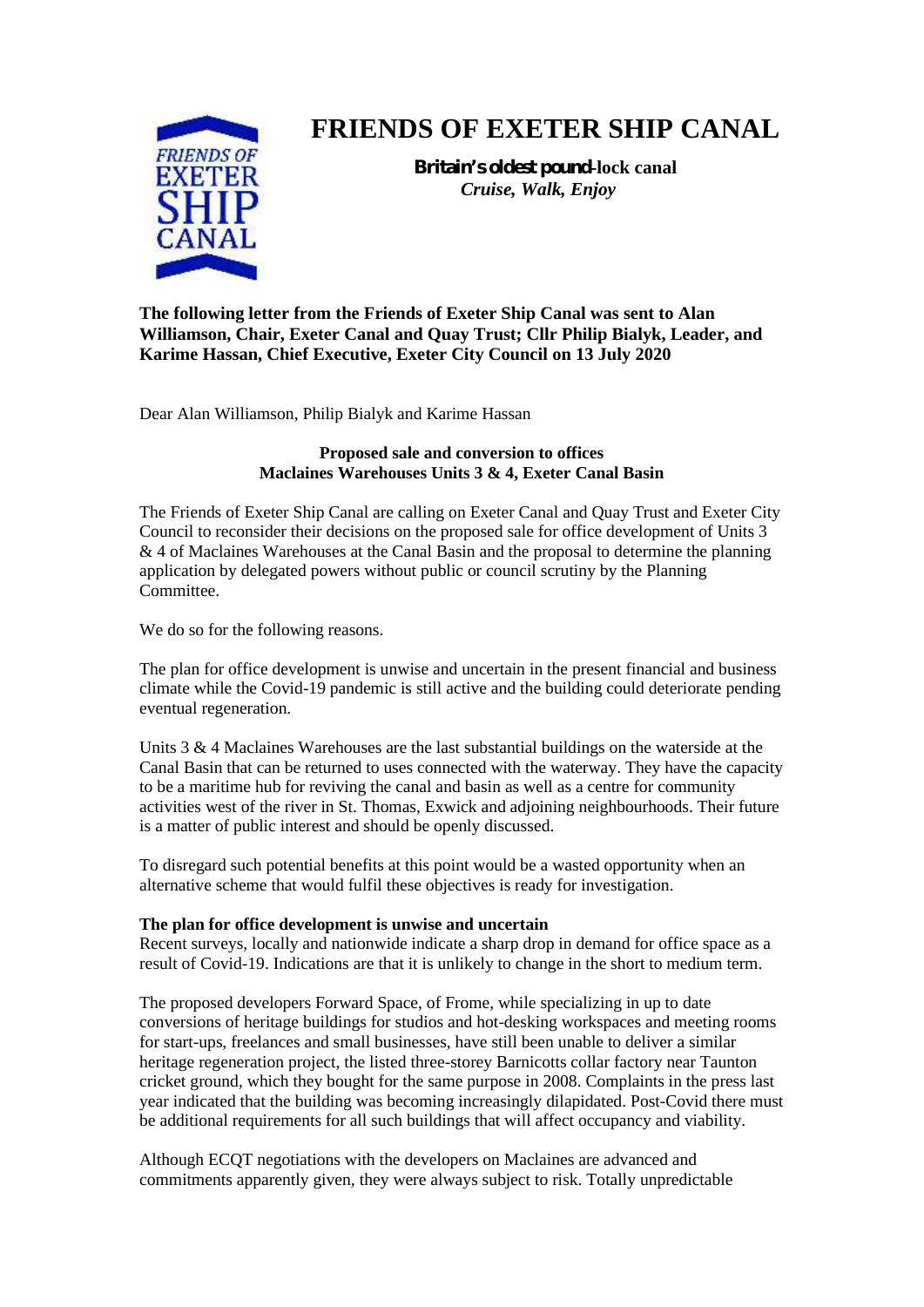

# **FRIENDS OF EXETER SHIP CANAL**

**Britain's oldest pound-lock canal** *Cruise, Walk, Enjoy*

**The following letter from the Friends of Exeter Ship Canal was sent to Alan Williamson, Chair, Exeter Canal and Quay Trust; Cllr Philip Bialyk, Leader, and Karime Hassan, Chief Executive, Exeter City Council on 13 July 2020**

Dear Alan Williamson, Philip Bialyk and Karime Hassan

## **Proposed sale and conversion to offices Maclaines Warehouses Units 3 & 4, Exeter Canal Basin**

The Friends of Exeter Ship Canal are calling on Exeter Canal and Quay Trust and Exeter City Council to reconsider their decisions on the proposed sale for office development of Units 3 & 4 of Maclaines Warehouses at the Canal Basin and the proposal to determine the planning application by delegated powers without public or council scrutiny by the Planning Committee.

We do so for the following reasons.

The plan for office development is unwise and uncertain in the present financial and business climate while the Covid-19 pandemic is still active and the building could deteriorate pending eventual regeneration.

Units 3 & 4 Maclaines Warehouses are the last substantial buildings on the waterside at the Canal Basin that can be returned to uses connected with the waterway. They have the capacity to be a maritime hub for reviving the canal and basin as well as a centre for community activities west of the river in St. Thomas, Exwick and adjoining neighbourhoods. Their future is a matter of public interest and should be openly discussed.

To disregard such potential benefits at this point would be a wasted opportunity when an alternative scheme that would fulfil these objectives is ready for investigation.

### **The plan for office development is unwise and uncertain**

Recent surveys, locally and nationwide indicate a sharp drop in demand for office space as a result of Covid-19. Indications are that it is unlikely to change in the short to medium term.

The proposed developers Forward Space, of Frome, while specializing in up to date conversions of heritage buildings for studios and hot-desking workspaces and meeting rooms for start-ups, freelances and small businesses, have still been unable to deliver a similar heritage regeneration project, the listed three-storey Barnicotts collar factory near Taunton cricket ground, which they bought for the same purpose in 2008. Complaints in the press last year indicated that the building was becoming increasingly dilapidated. Post-Covid there must be additional requirements for all such buildings that will affect occupancy and viability.

Although ECQT negotiations with the developers on Maclaines are advanced and commitments apparently given, they were always subject to risk. Totally unpredictable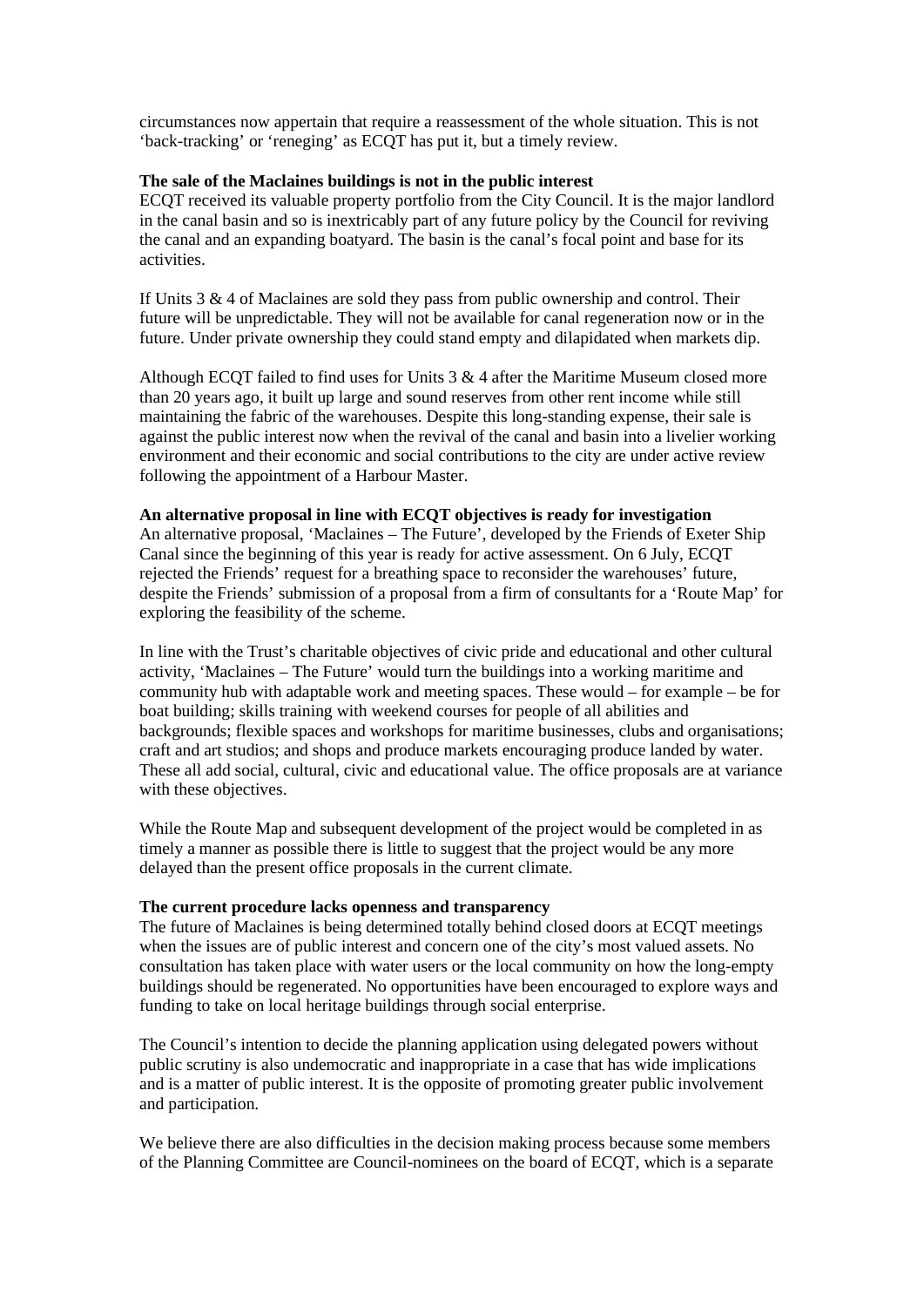circumstances now appertain that require a reassessment of the whole situation. This is not 'back-tracking' or 'reneging' as ECQT has put it, but a timely review.

#### **The sale of the Maclaines buildings is not in the public interest**

ECQT received its valuable property portfolio from the City Council. It is the major landlord in the canal basin and so is inextricably part of any future policy by the Council for reviving the canal and an expanding boatyard. The basin is the canal's focal point and base for its activities.

If Units  $3 \& 4$  of Maclaines are sold they pass from public ownership and control. Their future will be unpredictable. They will not be available for canal regeneration now or in the future. Under private ownership they could stand empty and dilapidated when markets dip.

Although ECQT failed to find uses for Units  $3 \& 4$  after the Maritime Museum closed more than 20 years ago, it built up large and sound reserves from other rent income while still maintaining the fabric of the warehouses. Despite this long-standing expense, their sale is against the public interest now when the revival of the canal and basin into a livelier working environment and their economic and social contributions to the city are under active review following the appointment of a Harbour Master.

#### **An alternative proposal in line with ECQT objectives is ready for investigation**

An alternative proposal, 'Maclaines – The Future', developed by the Friends of Exeter Ship Canal since the beginning of this year is ready for active assessment. On 6 July, ECQT rejected the Friends' request for a breathing space to reconsider the warehouses' future, despite the Friends' submission of a proposal from a firm of consultants for a 'Route Map' for exploring the feasibility of the scheme.

In line with the Trust's charitable objectives of civic pride and educational and other cultural activity, 'Maclaines – The Future' would turn the buildings into a working maritime and community hub with adaptable work and meeting spaces. These would – for example – be for boat building; skills training with weekend courses for people of all abilities and backgrounds; flexible spaces and workshops for maritime businesses, clubs and organisations; craft and art studios; and shops and produce markets encouraging produce landed by water. These all add social, cultural, civic and educational value. The office proposals are at variance with these objectives.

While the Route Map and subsequent development of the project would be completed in as timely a manner as possible there is little to suggest that the project would be any more delayed than the present office proposals in the current climate.

#### **The current procedure lacks openness and transparency**

The future of Maclaines is being determined totally behind closed doors at ECQT meetings when the issues are of public interest and concern one of the city's most valued assets. No consultation has taken place with water users or the local community on how the long-empty buildings should be regenerated. No opportunities have been encouraged to explore ways and funding to take on local heritage buildings through social enterprise.

The Council's intention to decide the planning application using delegated powers without public scrutiny is also undemocratic and inappropriate in a case that has wide implications and is a matter of public interest. It is the opposite of promoting greater public involvement and participation.

We believe there are also difficulties in the decision making process because some members of the Planning Committee are Council-nominees on the board of ECQT, which is a separate